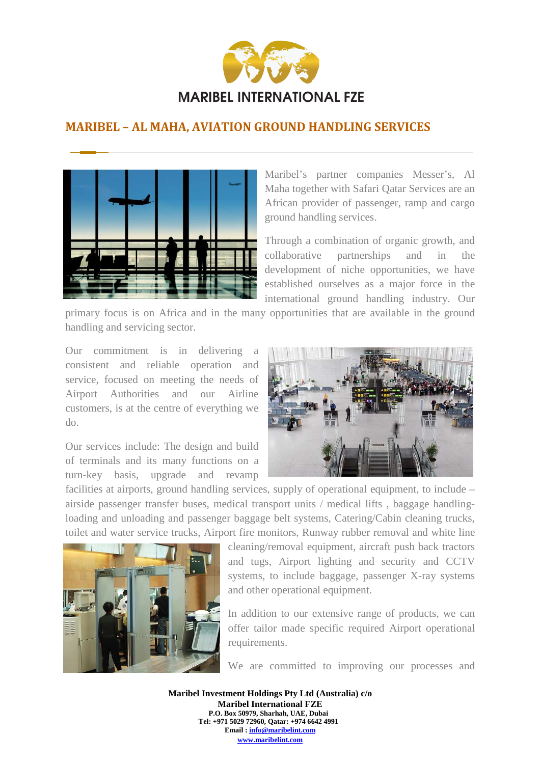

## **MARIBEL – AL MAHA, AVIATION GROUND HANDLING SERVICES**



Maribel's partner companies Messer's, Al Maha together with Safari Qatar Services are an African provider of passenger, ramp and cargo ground handling services.

Through a combination of organic growth, and collaborative partnerships and in the development of niche opportunities, we have established ourselves as a major force in the international ground handling industry. Our

primary focus is on Africa and in the many opportunities that are available in the ground handling and servicing sector.

Our commitment is in delivering a consistent and reliable operation and service, focused on meeting the needs of Airport Authorities and our Airline customers, is at the centre of everything we do.

Our services include: The design and build of terminals and its many functions on a turn-key basis, upgrade and revamp



facilities at airports, ground handling services, supply of operational equipment, to include – airside passenger transfer buses, medical transport units / medical lifts , baggage handlingloading and unloading and passenger baggage belt systems, Catering/Cabin cleaning trucks, toilet and water service trucks, Airport fire monitors, Runway rubber removal and white line



cleaning/removal equipment, aircraft push back tractors and tugs, Airport lighting and security and CCTV systems, to include baggage, passenger X-ray systems and other operational equipment.

In addition to our extensive range of products, we can offer tailor made specific required Airport operational requirements.

We are committed to improving our processes and

**Maribel Investment Holdings Pty Ltd (Australia) c/o Maribel International FZE P.O. Box 50979, Sharhah, UAE, Dubai Tel: +971 5029 72960, Qatar: +974 6642 4991 Email : info@maribelint.com www.maribelint.com**